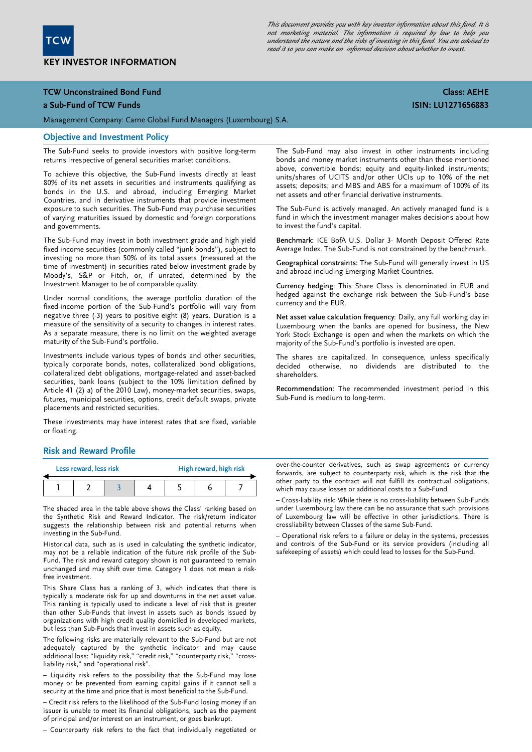

This document provides you with key investor information about this fund. It is not marketing material. The information is required by law to help you understand the nature and the risks of investing in this fund. You are advised to read it so you can make an informed decision about whether to invest.

## TCW Unconstrained Bond Fund

### a Sub-Fund of TCW Funds

Management Company: Carne Global Fund Managers (Luxembourg) S.A.

### Objective and Investment Policy

The Sub-Fund seeks to provide investors with positive long-term returns irrespective of general securities market conditions.

To achieve this objective, the Sub-Fund invests directly at least 80% of its net assets in securities and instruments qualifying as bonds in the U.S. and abroad, including Emerging Market Countries, and in derivative instruments that provide investment exposure to such securities. The Sub-Fund may purchase securities of varying maturities issued by domestic and foreign corporations and governments.

The Sub-Fund may invest in both investment grade and high yield fixed income securities (commonly called "junk bonds"), subject to investing no more than 50% of its total assets (measured at the time of investment) in securities rated below investment grade by Moody's, S&P or Fitch, or, if unrated, determined by the Investment Manager to be of comparable quality.

Under normal conditions, the average portfolio duration of the fixed-income portion of the Sub-Fund's portfolio will vary from negative three (-3) years to positive eight (8) years. Duration is a measure of the sensitivity of a security to changes in interest rates. As a separate measure, there is no limit on the weighted average maturity of the Sub-Fund's portfolio.

Investments include various types of bonds and other securities, typically corporate bonds, notes, collateralized bond obligations, collateralized debt obligations, mortgage-related and asset-backed securities, bank loans (subject to the 10% limitation defined by Article 41 (2) a) of the 2010 Law), money-market securities, swaps, futures, municipal securities, options, credit default swaps, private placements and restricted securities.

These investments may have interest rates that are fixed, variable or floating.

The Sub-Fund may also invest in other instruments including bonds and money market instruments other than those mentioned above, convertible bonds; equity and equity-linked instruments; units/shares of UCITS and/or other UCIs up to 10% of the net assets; deposits; and MBS and ABS for a maximum of 100% of its net assets and other financial derivative instruments.

The Sub-Fund is actively managed. An actively managed fund is a fund in which the investment manager makes decisions about how to invest the fund's capital.

Benchmark: ICE BofA U.S. Dollar 3- Month Deposit Offered Rate Average Index. The Sub-Fund is not constrained by the benchmark.

Geographical constraints: The Sub-Fund will generally invest in US and abroad including Emerging Market Countries.

Currency hedging: This Share Class is denominated in EUR and hedged against the exchange risk between the Sub-Fund's base currency and the EUR.

Net asset value calculation frequency: Daily, any full working day in Luxembourg when the banks are opened for business, the New York Stock Exchange is open and when the markets on which the majority of the Sub-Fund's portfolio is invested are open.

The shares are capitalized. In consequence, unless specifically decided otherwise, no dividends are distributed to the shareholders.

Recommendation: The recommended investment period in this Sub-Fund is medium to long-term.

### Risk and Reward Profile

| Less reward, less risk |  |  |  | High reward, high risk |  |  |
|------------------------|--|--|--|------------------------|--|--|
|                        |  |  |  |                        |  |  |

The shaded area in the table above shows the Class' ranking based on the Synthetic Risk and Reward Indicator. The risk/return indicator suggests the relationship between risk and potential returns when investing in the Sub-Fund.

 may not be a reliable indication of the future risk profile of the Sub-Historical data, such as is used in calculating the synthetic indicator, Fund. The risk and reward category shown is not guaranteed to remain unchanged and may shift over time. Category 1 does not mean a riskfree investment.

This Share Class has a ranking of 3, which indicates that there is typically a moderate risk for up and downturns in the net asset value. This ranking is typically used to indicate a level of risk that is greater than other Sub-Funds that invest in assets such as bonds issued by organizations with high credit quality domiciled in developed markets, but less than Sub-Funds that invest in assets such as equity.

The following risks are materially relevant to the Sub-Fund but are not adequately captured by the synthetic indicator and may cause additional loss: "liquidity risk," "credit risk," "counterparty risk," "crossliability risk," and "operational risk".

– Liquidity risk refers to the possibility that the Sub-Fund may lose money or be prevented from earning capital gains if it cannot sell a security at the time and price that is most beneficial to the Sub-Fund.

– Credit risk refers to the likelihood of the Sub-Fund losing money if an issuer is unable to meet its financial obligations, such as the payment of principal and/or interest on an instrument, or goes bankrupt.

– Counterparty risk refers to the fact that individually negotiated or

over-the-counter derivatives, such as swap agreements or currency forwards, are subject to counterparty risk, which is the risk that the other party to the contract will not fulfill its contractual obligations, which may cause losses or additional costs to a Sub-Fund.

– Cross-liability risk: While there is no cross-liability between Sub-Funds under Luxembourg law there can be no assurance that such provisions of Luxembourg law will be effective in other jurisdictions. There is crossliability between Classes of the same Sub-Fund.

– Operational risk refers to a failure or delay in the systems, processes and controls of the Sub-Fund or its service providers (including all safekeeping of assets) which could lead to losses for the Sub-Fund.

# Class: AEHE ISIN: LU1271656883